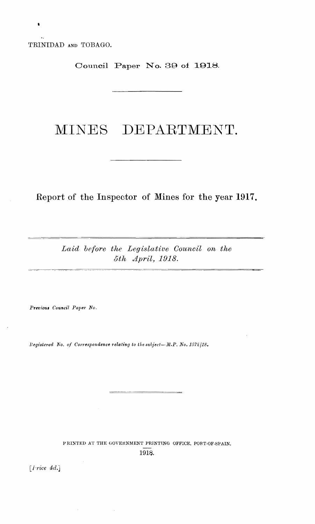TRINIDAD AND TOBAGO.

Council Paper No. 39 of 1918.

# MINES DEPARTMENT.

Report of the Inspector of Mines for the year 1917.

Laid before the Legislative Council on the 5th April, 1918.

Previous Council Paper No.

Registered No. of Correspondence relating to the subject-M.P. No. 1572/18.

PRINTED AT THE GOVERNMENT PRINTING OFFICE, PORT-OF-SPAIN, 1918.

[ $Price 4d.]$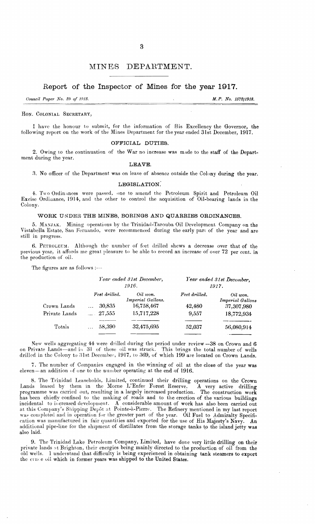#### **MINES** DEPARTMENT.

#### Report of the Inspector of Mines for the year 1917.

Council Paper No. 39 of 1918.

M.P. No. 157211918.

#### HON. COLONIAL SECRETARY,

I have the honour to submit, for the information of His Excellency the Governor, the following report on the work of the Mines Department for the year ended 31st December, 1917.

#### OFFICIAL DUTIES.

2. Owing to the continuation of the War no increase was made to the staff of the Department during the year.

#### LEAVE.

3. No officer of the Department was on leave of absence outside the Colony during the year.

#### LEGISLATION.

4. Two Ordinances were passed, one to amend the Petroleum Spirit and Petroleum Oil Excise Ordinance, 1914, and the other to control the acquisition of  $\tilde{O}$ il-bearing lands in the Colony.

#### WORK UNDER THE MINES, BORINGS AND QUARRIES ORDINANCES.

5. MANJAK. Mining operations by the Trinidad-Tarouba Oil Development Company on the Vistabella Estate, San Fernando, were recommenced during the early part of the year and are still in progress.

6. PETROLEUM. Although the number of feet drilled shews a decrease over that of the previous year, it affords me great pleasure to be able to record an increase of over 72 per cent. in the production of oil.

The figures are as follows :----

|               |                 | Year ended 31st December,<br>1916. | Year ended 31st December,<br>1917. |                              |  |
|---------------|-----------------|------------------------------------|------------------------------------|------------------------------|--|
|               | Feet drilled.   | Oil won.<br>Imperial Gallons.      | Feet drilled.                      | Oil won.<br>Imperial Gallons |  |
| Crown Lands   | 30,835          | 16,758,467                         | 42,480                             | 37,307,980                   |  |
| Private Lands | $\ldots$ 27,555 | 15,717,228                         | 9,557                              | 18,772,934                   |  |
| Totals        | 58,390          | 32,475,695                         | 52,037                             | 56,080,914                   |  |
|               |                 |                                    |                                    |                              |  |

New wells aggregating 44 were drilled during the period under review -38 on Crown and 6 on Private Lands—and in 31 of these oil was struck. This brings the total number of wells drilled in the Colony to 31st December, 1917

7. The number of Companies engaged in the winning of oil at the close of the year was eleven—an addition of one to the number operating at the end of 1916.

8. The Trinidad Leaseholds, Limited, continued their drilling operations on the Crown Lands leased by them in the Morne L'Enfer Forest Reserve. A very active drilling Lands leased by them in the Morne L'Enfer Forest Reserve. A very active drilling<br>programme was carried out, resulting in a largely increased production. The construction work<br>has been chiefly confined to the making of road incidental to increased development. A considerable amount of work has also been carried out<br>at this Company's Shipping Depôt at Pointe-à-Pierre. The Refinery mentioned in my last report<br>was completed and in operation for cation was manufactured in fair quantities and exported for the use of His Majesty's Navy. An additional pipe-line for the shipment of distillates from the storage tanks to the island jetty was also laid.

9. The Trinidad Lake Petroleum Company, Limited, have done very little drilling on their private lands at Brighton, their energies being mainly directed to the production of oil from the old wells. I understand that difficulty is being experienced in obtaining tank steamers to export the cruce oil which in former years was shipped to the United States.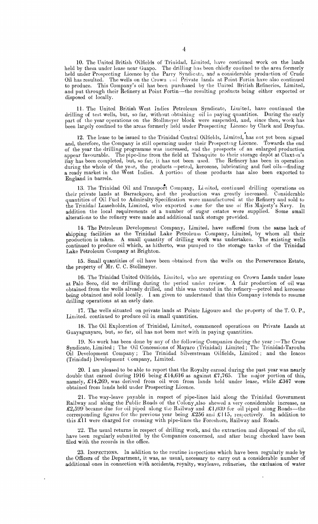10. The United British Oilfields of Trinidad. Limited. have continued work on the lands held by them under lease near Guapo. The drilling has been chiefly contined to the area formerly held under Prospecting Licence by the Parry Syndicate, and a considerable production of Crude Oil has resulted. The wells on the Crown and Private lands at Point Fortin have also continued to produce. This Oompany's oil has been purchased by the United British Refineries, Limited, and put through their Refinery at Point Fortin-the resulting products being either exported or disposed of locally.

11. The United British West Indies Petroleum Syndicate, Limited, have continued the drilling of test wells, but, so far, without obtaining oil in paying quantities. During the early part of the year operations on the Stollmeyer block were suspended, and, since then, work has been largely confined to the areas formerly held under Prospecting Licence by Clark and Dreyfus.

12. The lease to be issued to the Trinidad Central Oilfields, Limited, has not yet been signed and, therefore, the Company is still operating under their Prospecting Licence. Towards the end of the year the drilling programme was increased, and the prospects of an enlarged production appear favourable. The pipe-line from the field at Tabaquite to their storage depot at Claxton's Bay has been completed, but, so far, it has not been used. The Refinery has been in operation during the whole of the year, the products -petrol, kerosene, lubricating and fuel oils-finding a ready market in the West Indies. A portion of these products has also been exported to England in barrels.

13. The Trinidad Oil and Transport Company, Limited, continued drilling operations on their private lands at Barrackpore, and the production was greatly increased. Considerable quantities of Oil Fuel to Admiralty Specification were manufactured at the Refinery and sold to the Trinidad Leaseholds, Limited, who exported s me for the use of His Majesty's Navy. In addition the local requirements of a number of sugar estates were supplied. Some small alterations to the refinery were made and additional tank storage provided.

14. The Petroleum Development Company, Limited. have suffered from the same lack of shipping facilities as the Trinidad Lake Petroleum Company, Limited, by whom all their production is taken. A small quantity of drilling work was undertaken. The existing wells continued to produce oil which, as hitherto, was pumped to the storage tanks of the Trinidad Lake Petroleum Oompany at Brighton.

15. Small quantities of oil have been obtained from the wells on the Perseverance Estate, the property of  $\overline{M}$ r. C. C. Stollmeyer.

16. The Trinidad United Oilfields, Limited, who are operating on Crown Lands under lease at Palo Seco, did no drilling during the period under review. A fair production of oil was obtained from the wells already drilled, and this was treated in the refinery-petrol and kerosene being obtained and sold locally. I am given to understand that this Company intends to resume drilling operations at an early date.

17. The wells situated on private lands at Pointe Ligoure and the property of the T.O. P., Limited, continued to produce oil in small quantities.

18. The Oil Exploration of Trinidad, Limited, commenced operations on Private Lands at Guayaguayare, but, so far, oil has not been met with in paying quantities.

19. No work has been done by any of the following Companies during the year :--The Cruse Syndicate, Limited; The Oil Concessions of Mayaro (Trinidad) Limited; The Trinidad-Tarouba Oil Development Company; The Trinidad bilverstream Oilfields, I.limited; and the Icacos (Trinidad) Development Company, Limited.

20. I am pleased to be able to report that the Royalty earned during the past year was nearly double that earned during 1916 being £14,616 as against £7,765. The major portion of this, namely,  $£14,269$ , was derived from oil won from lands held under lease, while  $£347$  were obtained from lands held under Prospecting Licence.

21. The way-leave payable in respect of pipe-lines laid along the Trinidad Government Railway and along the Public Roads of the Colony.also shewed a very considerable increase, as £2,599 became due for oil piped along the Railway and £1,039 for oil piped along Roads-the corresponding figures for the previous year being £256 and £115, respectively. In addition to this £11 were charged for crossing with pipe-lines the Foreshore, Railway and Roads.

22. The usual returns in respect of drilling work, and the extraction and disposal of the oil, have been regularly submitted by the Companies concerned, and after being checked have been filed with the records in the office.

23. INSPECTIONS. In addition to the routine inspections which have been regularly made by the Officers of the Department, it was, as usual, necessary to carry out a considerable number of additional ones in connection with accidents, royalty, wayleave, refineries, the exclusion of water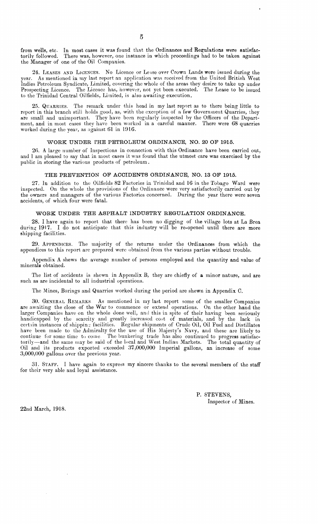from wells, etc. In most cases it was found that the Ordinances and Regulations were satisfactorily followed. There was, however, one instance in which proceedings had to be taken against the Manager of one of the Oil Companies.

24. LEASES AND LICENCES. No Licence or Leise over Crown Lands were issued during the year. As mentioned in my last report an application was received from the United British West Indies Petroleum Syndicate, Limited, covering the whole of the areas they desire to take up under Prospecting Licence. The Licence has, however, not yet been executed. The Lease to be issued to the Trinidad Central Oilfields, Limited, is also awaiting execution.

25. QUARRIES. The remark under this head in my last report as to there being little to report in this branch still holds good, as, with the exception of a few Government Quarries, they are small and unimportant. They have been regularly inspected by the Officers of the Department, and in most cases they have been worked in a careful manner. There were 68 quarries worked during the year, as against 61 in 1916.

#### WORK UNDER rHE PETROLEUM ORDINANCE, NO. 20 OF 1915.

26. A large number of Inspections in connection with this Ordinance have been carried out, and I am pleased to say that in most cases it was found that the utmost care was exercised by the public in storing the various products of petroleum.

#### THE PREVENTION OF ACCIDENTS ORDINANOE, NO. 13 OF 1915.

27. In addition to the Oilfields 82 Factories in Trinidad and 16 in the Tobago Ward were inspected. On the whole the provisions of the Ordinance were very satisfactorily carried out by the owners and managers of the various Pactories concerned. During the year there were seven accidents, of which four were fatal.

#### WORK UNDER THE ASPHALT INDUSTRY REGULATION ORDINANCE.

28. I have again to report that therc has been no digging of the village lots at La Brea during 1917. I do not anticipate that this industry will be re-opened until there are more shipping facilities.

29. ApPENDICES. The majority of the returns under the Ordinances from which the appendices to this report are prepared were obtained from the various parties without trouble.

Appendix A shews the average number of persons employed and the quantity and value of minerals obtained.

The list of accidents is shewn in Appendix B, they are chiefly of a minor nature, and are such as are incidental to all industrial operations.

The Mines, Borings and Quarries worked during the period are shewn in Appendix C.

30. GENERAL REMARKS As mentioned in my last report some of the smaller Companies are awaiting the close of the War to commence or extend operations. On the other hand the larger Companies have on the whole done well, and this in spite of their having been seriously handicapped by the scarcity and greatly increased cost of materials, and by the lack in certain instances of shipping facilities. Regular shipments of Crude Oil, Oil Fuel and Distillates have been made to the Admiralty for the use of His Majesty's Navy, and these are likely to continue for some time to comc. The bunkering trade has also continued to progress satisfactorily-and the same may be said of the local and West Indian Markets. The total quantity of Oil and its products exported exceeded 37,000,000 Imperial gallons, an increase of some :3,000,000 gallons over the previous year.

31. STAFF. I have again to express my sincere thanks to the several members of the staff for their very able and loyal assistance.

> P. STEVENS, Inspector of Mines.

22nd March, 1918.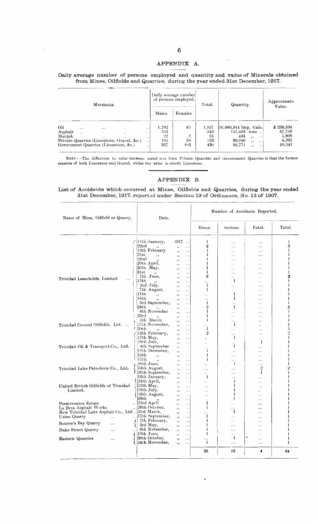#### APPENDIX A.

#### Daily average number of persons employed and quantity and value of Minerals obtained from Mines, Oilfields and Quarries, during the year ended 31st December, 1917.

| MINERALS.                |                                  |                                                                                      |                                                                               |                                                                      | Daily average number<br>of persons employed. |                                                | Total.                                | Quantity.                                                                                                                                          | Approximate<br>Value.                           |  |
|--------------------------|----------------------------------|--------------------------------------------------------------------------------------|-------------------------------------------------------------------------------|----------------------------------------------------------------------|----------------------------------------------|------------------------------------------------|---------------------------------------|----------------------------------------------------------------------------------------------------------------------------------------------------|-------------------------------------------------|--|
|                          |                                  |                                                                                      |                                                                               | Males.                                                               | Females.                                     |                                                |                                       |                                                                                                                                                    |                                                 |  |
| Oil<br>Asphalt<br>Manjak | $\cdots$<br>$\cdots$<br>$\cdots$ | $\cdots$<br>$\ddot{\phantom{a}}$<br>$\cdots$<br>Government Quarries (Limestone, &c.) | $\ddot{\phantom{0}}$<br>$\cdots$<br>Private Quarries (Limestone, Gravel, &c.) | $\ddot{\phantom{0}}$<br>$\cdot$ .<br>$\cdots$<br>$\sim$<br>$\cdot$ . | 1.792<br>542<br>-22<br>165.<br>327           | 6.7<br>$\ddot{\phantom{1}}$<br>.,<br>53<br>103 | 1,857<br>542<br>$^{94}$<br>223<br>430 | $[56,080,914]$ Imp. Gals.<br>131.483<br>$tons \dots$<br>434<br>$\cdots$<br>$\cdots$<br>90,040<br>$, \,$<br>$\cdot$ .<br>66,771<br>$, \, \cdot$<br> | £ 236,534<br>87,769<br>1,808<br>4,392<br>10,541 |  |

NOTE : --The difference in value between metal wou from Private Quarries and Government Quarries is that the former<br>consists of both Limestone and Gravel, whilst the latter is chiefly Limestone.

#### APPENDIX B.

#### List of Accidents which occurred at Mines, Oilfields and Quarries, during the year ended 31st December, 1917, reported under Section 19 of Ordinance, No. 13 of 1907.

| Name of Mine, Oilfield or Quarry.              | Date.                            |                                              | Number of Accidents Reported.    |                          |                      |                   |
|------------------------------------------------|----------------------------------|----------------------------------------------|----------------------------------|--------------------------|----------------------|-------------------|
|                                                |                                  |                                              | Minor.                           | Serious.                 | Fatal.               | Total.            |
|                                                | Hth January,                     | 1917<br>$\ldots$                             | I                                | $\cdots$                 | $\cdots$             | 1                 |
|                                                | $22$ nd                          | $\ldots$<br>٠,                               | 2                                | $\cdots$                 |                      | 2                 |
|                                                | 19th February                    | .<br>, ,                                     | 1                                | $\ddot{\phantom{a}}$     | $\cdots$             | 1                 |
|                                                | 21st<br>,,                       | $\ddotsc$<br>, ,                             | 1                                | $\ddotsc$                | .                    | 1                 |
|                                                | $22n$ d<br>20th April,           | $\ddot{\phantom{0}}$<br>,,                   | ł<br>1                           |                          | $\ddot{\phantom{0}}$ | 1<br>I            |
|                                                | 30th May,                        | $\ldots$<br>, ,                              | 1                                | $\ddot{\phantom{a}}$     |                      | ı                 |
|                                                | 31st                             | $\ddotsc$<br>٠,                              | ı                                | $\sim$                   | $\ddot{\phantom{0}}$ | 1                 |
|                                                | ٠,<br>7th June,                  | $\ddotsc$<br>$\epsilon$<br>$\ldots$          | 3                                | $\cdots$<br>$\ddotsc$    | .<br>τ.              | 3                 |
| Trinidad Leaseholds, Limited<br>$\cdots$       | 15th                             | , ,<br>$\ddot{\phantom{0}}$<br>,,            | $\cdots$                         | 1                        | $\ddot{\phantom{0}}$ | 1                 |
|                                                | 2nd July,                        | $\ldots$<br>, ,                              | 1                                | $\cdots$                 | .                    | 1                 |
|                                                | 7th August,                      | $\ddotsc$<br>,                               | 1                                |                          | .                    | ı                 |
|                                                | 11th<br>٠,                       | $\ldots$<br>,,                               | $\cdots$                         | -1                       |                      | L                 |
|                                                | 16th                             | $\ddot{\phantom{a}}$<br>,,                   | $\cdots$                         | 1                        | .                    | 1                 |
|                                                | 3rd September,                   | $\ddotsc$<br>٠,                              | 1                                | $\ddotsc$                | . .                  | ŧ                 |
|                                                | 24th                             | $\bullet$ .<br>,,                            | $\overline{2}$                   | 1                        | $\cdots$             | 3                 |
|                                                | 8th November                     | $\ldots$<br>,,                               | 1                                | $\ddotsc$                | $\cdots$             | ı                 |
|                                                | 23rd<br>٠,<br>5th March          | $\ddotsc$<br>,,                              | ı<br>1                           | $\cdots$                 | .                    | ı                 |
| Trinidad Central Oilfields, Ltd.               | 27th November,                   | $\ddotsc$<br>, ,                             |                                  | $\overline{a}$<br>-1     | .                    | ı                 |
|                                                | 30th                             | $\ldots$<br>,,<br>$\ddotsc$                  | $\cdots$<br>1                    | .                        | .,<br>$\ddotsc$      | ı                 |
|                                                | , ,<br>13th February,            | ,,<br>$\ddot{\phantom{1}}$<br>,,             | 2                                | $\cdots$                 | $\cdots$             | 2                 |
|                                                | 17th May,                        | $\ddotsc$<br>, ,                             | $\ddot{\phantom{a}}$             | 1                        | i.                   | l                 |
|                                                | 28th July,                       | $\cdots$<br>, ,                              | $\sim$                           | $\ldots$                 | 1                    | ı                 |
| Trinidad Oil & Transport Co., Ltd.             | 4th September                    | ٠,<br>$\sim$ .                               | $\ddot{\phantom{a}}$             | -1                       | $\cdots$             | 1                 |
|                                                | 11th December,                   | , ,<br>$\cdot$                               | 1                                | $\cdots$                 | $\cdots$             | ł                 |
|                                                | 15th<br>$, \,$                   | $\ddot{\phantom{a}}$<br>٠,                   | L                                | .                        | Ω.                   | 1                 |
|                                                | 17th<br>$\ddot{\phantom{0}}$     | $\ddotsc$<br>$\cdots$                        | ł                                | $\ddot{\phantom{0}}$     | .                    | Ŧ                 |
|                                                | 10th June.                       | $\ldots$<br>,                                | $\cdots$                         | $\mathbf{I}$             | $\cdots$             | L                 |
| Trinidad Lake Petroleum Co., Ltd.              | 13th August,                     | $\ldots$<br>$, \, ,$                         | $\cdots$                         | $\cdots$                 | 2<br>1               | 2<br>$\mathbf{I}$ |
|                                                | 26th September,<br>12th January, | $\cdots$<br>$, \, ,$                         | $\ddot{\phantom{a}}$<br>1        | $\ddotsc$                |                      | ı                 |
|                                                | 24th April,                      | $\ddotsc$<br>,,                              |                                  | $\ddotsc$<br>1           | .<br>$\cdots$        | ì                 |
| United British Oilfields of Trinidad           | 12th May,                        | ,,<br>$\ddot{\phantom{a}}$<br>$\cdot$ .      | $\ddot{\phantom{a}}$<br>$\cdots$ | 1                        | $\ddot{\phantom{0}}$ | ı                 |
| Limited.                                       | 25th July,                       | ÷,<br>$\ddotsc$<br>, ,                       | $\cdots$                         | 1                        |                      | ı                 |
|                                                | 16th August,                     | $\ldots$<br>, ,                              | $\cdots$                         | 1                        | .                    | L                 |
|                                                | 29th                             | $\ldots$<br>,,                               | $\ddot{\phantom{a}}$             | $\mathbf{I}$             |                      | L                 |
| Perseverance Estate                            | 23rd April                       | $\ldots$<br>, ,                              | 1                                | $\ddot{\phantom{a}}$     |                      | 1                 |
| La Brea Asphalt Works                          | 26th October.                    | $\sim$ .<br>,                                | 1                                | $\overline{\phantom{a}}$ | $\ddot{\phantom{a}}$ | ł                 |
| New Trinidad Lake Asphalt Co., Ltd 31st March, |                                  | $, \,$<br>$\cdots$                           | $\cdots$                         | 1                        |                      | ı                 |
| Usine Quarry<br>.<br>$\cdots$                  | 17th September,                  | ,,<br>$\ddotsc$                              | 1                                | $\cdots$                 | .                    | 1                 |
| Bourne's Bay Quarry<br>$\ldots$                | 7th February,                    | $\ddotsc$<br>,,                              | 1<br>1                           | $\ddot{\phantom{a}}$     |                      |                   |
|                                                | 3rd May,<br>6th November,        | $\ldots$<br>٠,                               | ł                                | .                        | .                    | ı                 |
| Duke Street Quarry<br>.                        | 13th June,                       | $\cdots$<br>$, \,$<br>$\ddot{\phantom{1}}$ . | 1                                | .<br>.                   | <br>$\cdot$          | ı                 |
| <b>Eastern Quarries</b><br>                    | 30th October,                    | ,,<br>٠,<br>$\cdots$                         | $\cdots$                         | -1                       | ٠<br>$\cdots$        | 1                 |
|                                                | 24th November,                   | $\ldots$<br>,,                               | 1                                |                          | $\ldots$             | 1                 |
|                                                |                                  |                                              | 35                               | 15                       | 4                    | 54                |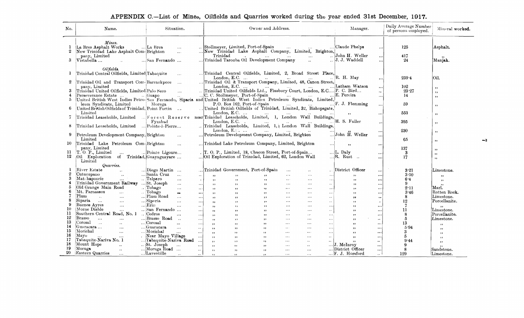### APPENDIX C.-List of Mines, Oilfields and Quarries worked during the year ended 31st December, 1917.

| No.                      | Name.                                                                                                                | Situation.                                                            | Owner and Address.                                                                                                                                                                                                                                                                                                     | Manager.                                                                              | Daily Average Number<br>of persons employed. | Mineral worked.                             |
|--------------------------|----------------------------------------------------------------------------------------------------------------------|-----------------------------------------------------------------------|------------------------------------------------------------------------------------------------------------------------------------------------------------------------------------------------------------------------------------------------------------------------------------------------------------------------|---------------------------------------------------------------------------------------|----------------------------------------------|---------------------------------------------|
| 1<br>$\overline{2}$<br>3 | Mines.<br>La Brea Asphalt Works<br>New Trinidad Lake Asphalt Com-Brighton<br>pany, Limited<br>$V$ istabella $\ldots$ | La Brea<br>$\ddotsc$<br>$\mathbf{r}$ .<br>San Fernando                | Stollmeyer, Limited, Port-of-Spain<br>$\sim 0.44\,M_\odot$<br>New Trinidad Lake Asphalt Company, Limited, Brighton,<br>Trinidad<br>Trinidad Tarouba Oil Development Company<br>$\ddotsc$                                                                                                                               | Claude Phelps<br>$\ldots$<br>John H. Weller<br>$\cdots$<br>J. J. Waddell<br>$\ddotsc$ | 125<br>417<br>24                             | Asphalt.<br>Manjak.                         |
| 1                        | Oilfields.<br>Trinidad Central Oilfields, Limited Tabaquite                                                          | $\mathbf{r}$                                                          | Trinidad Central Oilfields, Limited, 2, Broad Street Place,<br>London, E.C.                                                                                                                                                                                                                                            | $\sqrt{}$ R. H. May<br>$\cdots$                                                       | $259 - 4$                                    | lOil.                                       |
| 3<br>5.                  | Trinidad Oil and Transport Com-Barrackpore<br>pany. Limited<br>Trinidad United Oilfields, Limited Palo Seco          | $\mathbf{1}$                                                          | Trinidad Oil & Transport Company, Limited, 48, Canon Street,<br>London, E.C. $\dots$<br>C. C. Stollmeyer, Port-of-Spain     E. Pereira<br>C.C.C. Stollmeyer, Port-of-Spain  (3)  [C. W. Stollmeyer, Port-of-Spain  [C. C. Stollmeyer, Port-of-Spain  [2]  [2] United British West Indics Petroleum Syndicate, Limited, | Latham Watson<br>$\ddotsc$<br>$\ddotsc$<br>$\cdots$                                   | 102<br>23.27<br>14                           | , ,<br>, ,<br>$, \,$                        |
|                          | leum Syndicate, Limited<br>United British Oilfields of Trinidad. Point Fortin                                        | Moruga                                                                | P.O. Box 162, Port-of-Spain<br>United British Oilfields of Trinidad, Limited, 32, Bishopsgate,<br>London, $E.C.$                                                                                                                                                                                                       | $\ldots$ F. J. Flemming<br>$\ddotsc$<br>$\cdots$                                      | 59<br>553                                    | ,,<br>, ,                                   |
| 8                        | Trinidad Leaseholds, Limited  Pointe-à-Pierre                                                                        |                                                                       | Linited<br>Trinidad Leaseholds, Limited  Forest Reserve near Trinidad Leaseholds, Limited, 1, London Wall Buildings, H. S. Fuller<br>Trinidad Leaseholds, Limited, 1, : London Wall Buildings,                                                                                                                         |                                                                                       | 395                                          | , ,                                         |
| 9                        | Petroleum Development Company, Brighton<br>Limited                                                                   | $\sim$                                                                | London, E.C.<br>Petroleum Development Company, Limited, Brighton                                                                                                                                                                                                                                                       | $\cdots$<br>$\dddot{\mathbf{H}}$ . Weller<br>$\cdots$                                 | 230<br>65                                    | , ,<br>$, \,$                               |
| 10                       | Trinidad Lake Petroleum Com-Brighton<br>pany, Limited                                                                | $\sim 100$                                                            | Trinidad Lake Petroleum Company, Limited, Brighton<br>$\cdots$                                                                                                                                                                                                                                                         | , ,<br>$\ldots$                                                                       | 137                                          | , ,                                         |
| 11<br>12                 | T. O. P., Limited<br>$\cdots$<br>Oil Exploration of Trinidad, Guayaguayare<br>Limited<br>Quarries.                   | Pointe Ligoure                                                        | . T. O. P., Limited, 18, Chacon Street, Port-of-Spain<br>Oil Exploration of Trinidad, Limited, 62, London Wall                                                                                                                                                                                                         | $\ldots$ L. Daly<br>$\cdots$<br>$\mathbb{R}$ . Rust<br>$\cdots$                       | 3<br>17                                      | $, \,$<br>, ,                               |
|                          | River Estate                                                                                                         | Diego Martin                                                          | Trinidad Government, Port-of-Spain                                                                                                                                                                                                                                                                                     | District Officer                                                                      | 3.21                                         |                                             |
| 2                        | $\sim$<br>Cutucupano<br>$\ddot{\phantom{a}}$                                                                         | Santa Cruz<br>$\mathbf{a}$                                            | $\ddotsc$<br>$\mathbf{r}$ .<br>$\ddot{\phantom{a}}$                                                                                                                                                                                                                                                                    | $\cdots$                                                                              | 3:50                                         | Limestone.                                  |
|                          | Matchapoorie<br>$\mathbf{r}$                                                                                         | $\sim$<br>Talparo                                                     | $\cdots$<br>$\sim 100$<br>, ,<br>, ,<br>$\ddotsc$<br>$\overline{\mathbf{z}}$                                                                                                                                                                                                                                           | , ,<br>$\cdots$                                                                       |                                              | $\rightarrow$                               |
|                          | Trinidad Government Railway                                                                                          | $\cdots$<br>$\sim$<br>St. Joseph                                      | , ,<br>, ,<br>$\bullet$ $\bullet$ $\circ$<br>$, \,$<br>$\cdots$<br>$\cdots$                                                                                                                                                                                                                                            | , ,<br>$\cdots$                                                                       | 6.4<br>-9                                    | $, \,$                                      |
|                          | Old Grange Main Road                                                                                                 | $\ldots$<br>$\ldots$                                                  | $\sim$ $\sim$ $\sim$<br>, ,<br>, ,<br>$\cdots$<br>$\ddotsc$<br>, ,                                                                                                                                                                                                                                                     | , ,<br>$\cdots$                                                                       |                                              | Marl.                                       |
|                          | Mt. Parnassus<br>$\sim$                                                                                              | Tobago<br>$\cdots$<br>$\ldots$                                        | $\cdots$<br>, ,<br>$\bullet$<br>$\cdots$<br>. 1<br>$, \,$                                                                                                                                                                                                                                                              | , ,<br>$\cdots$                                                                       | 2.11                                         | Rotten Rock.                                |
|                          | Plum                                                                                                                 | $\therefore$ Tobago<br>$\mathbf{a}$<br>$\cdots$<br>$\ldots$ Plum Road | , ,<br>$\cdots$<br>$\cdots$<br>, ,<br>$, \,$<br>$\ldots$                                                                                                                                                                                                                                                               | , ,<br>$\ddotsc$                                                                      | 3.46                                         |                                             |
|                          | $\sim 10^{-11}$<br>$\ldots$<br>Siparia                                                                               | $\ldots$<br>$\cdots$                                                  | , ,<br>$\ldots$<br>$\cdots$<br>$\ddot{\phantom{1}}$<br>, ,<br>, ,                                                                                                                                                                                                                                                      | $\bullet$<br><b>Add</b>                                                               | 8                                            | $\mathop{\rm Limes}$ tone.<br>Porcellanite. |
|                          | $\sim$<br>Buenos Ayres                                                                                               | Siparia<br>$\ddotsc$<br>$\cdots$                                      | $\cdot$<br>$\cdots$<br>$\cdots$<br>$\ldots$<br>, ,<br>, ,                                                                                                                                                                                                                                                              | , ,<br>$\dddot{\phantom{0}}$                                                          | 12                                           |                                             |
| 10                       | $\dddotsc$<br>Morne Diable                                                                                           | $\dots$ Erin<br>$\bullet$ $\bullet$                                   | , ,<br>, ,<br>$\ldots$<br>$\cdots$<br>$\ldots$<br>, ,                                                                                                                                                                                                                                                                  | $, \,$                                                                                | 7                                            | , ,                                         |
| 11                       | $\ldots$                                                                                                             | San Fernando<br>$\sim$ $\sim$                                         | $\cdots$<br>$\overline{\phantom{a}}$<br>, ,<br>, ,<br>$\cdots$<br>$\sim$                                                                                                                                                                                                                                               | , ,<br>$\cdots$                                                                       | 11                                           | Limestone.                                  |
| 12                       | Southern Central Road, No. 1                                                                                         | Cedros<br>$\cdots$<br>$\cdots$                                        | $\ldots$<br>$\sim 10^{-1}$<br>, ,<br>, ,<br>$\cdots$<br>, ,                                                                                                                                                                                                                                                            | , ,<br>$\cdots$                                                                       | 8                                            | Porcellanite.                               |
|                          | Brasso<br>$\cdots$<br>$\ddotsc$                                                                                      | Brasso Road<br>$\ddotsc$<br>$\cdots$                                  | , ,<br>, ,<br>$\cdots$<br>$\cdots$<br>$\cdots$<br>, ,                                                                                                                                                                                                                                                                  | , ,<br>$\mathbf{r}$ .                                                                 | 5                                            | Limestone.                                  |
| 13                       | Corosal<br>$\sim 100$<br>$\mathbf{r}$                                                                                | Corosal<br>$\ddot{\phantom{a}}$<br>$\ddotsc$                          | , ,<br>$\cdots$<br>$\cdots$<br>, ,<br>, ,<br>$\ldots$                                                                                                                                                                                                                                                                  | , ,<br>$\cdots$                                                                       | 13                                           | , ,                                         |
| 14                       | Guaracara<br>$\dddotsc$                                                                                              | Guaracara<br>$\ldots$<br>$\ddot{\phantom{a}}$                         | $\rightarrow$ $\rightarrow$ $\rightarrow$<br>$\ldots$<br>, ,<br>, ,<br>, ,                                                                                                                                                                                                                                             | $, \,$<br>$\cdots$                                                                    | 5.94                                         | , ,                                         |
| 15                       | Morichal<br>$\sim$ $\sim$                                                                                            | Morichal<br>$\cdots$<br>$\ddotsc$                                     | , ,<br>, ,<br>, ,<br>$\cdots$<br>$\cdots$<br>$\ldots$                                                                                                                                                                                                                                                                  | $, \,$<br>$\cdots$                                                                    | 3                                            | , ,                                         |
| 16                       | Mavo<br>$\cdots$<br>$\cdots$                                                                                         | . Near Mayo Village<br>$\cdots$                                       | , ,<br>$\sim$ $\sim$<br>$\cdots$<br>$\ddotsc$<br>, ,<br>, ,                                                                                                                                                                                                                                                            | , ,<br>$\cdots$                                                                       | 5                                            | $\rightarrow$                               |
| 17                       | Tabaquite-Nariva No. 1                                                                                               | Tabaquite-Nariva Road                                                 | , ,<br>, ,<br>$\cdot$ ,<br>$\cdots$<br>$\ldots$<br>$\bullet$ .                                                                                                                                                                                                                                                         | $\ddot{\phantom{1}}$<br>,,                                                            | 9.44                                         | $, \,$                                      |
| 18                       | Mount Hope<br>$\mathbf{a}$ .                                                                                         | $.$ St. Joseph<br>$\sim 10^{-1}$<br>$\ldots$                          | , ,<br>$\mathbf{r}$ is a<br>$\sim$<br>, ,<br>, ,                                                                                                                                                                                                                                                                       | J. McInroy<br>$\cdots$                                                                | 9                                            |                                             |
| 19                       | Moruga<br>$\mathcal{L}_{\mathbf{r}}$                                                                                 | Moruga Road<br>$\ldots$                                               | , ,<br>, ,<br>$\cdots$<br>$\cdots$<br>, ,                                                                                                                                                                                                                                                                              | District Officer<br>$\cdots$                                                          | 8                                            | Sandstone.                                  |
| 20                       | Eastern Quarries<br>$\sim$ .                                                                                         | Laventille<br>$\overline{\phantom{a}}$<br>المحا                       | $\cdots$<br>$\cdots$<br>, ,<br>, ,<br>$, \,$                                                                                                                                                                                                                                                                           | F. J. Horsford<br>. 1                                                                 | 129                                          | Limestone.                                  |

 $\blacktriangleright$